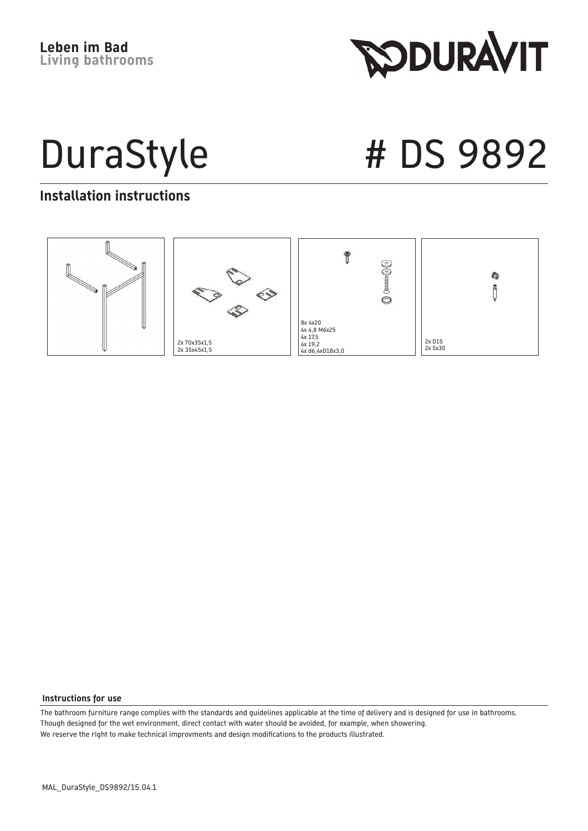**RODURAVIT** 

DuraStyle # DS 9892

#### **Installation instructions**



#### **Instructions for use**

The bathroom furniture range complies with the standards and guidelines applicable at the time of delivery and is designed for use in bathrooms. Though designed for the wet environment, direct contact with water should be avoided, for example, when showering. We reserve the right to make technical improvments and design modifications to the products illustrated.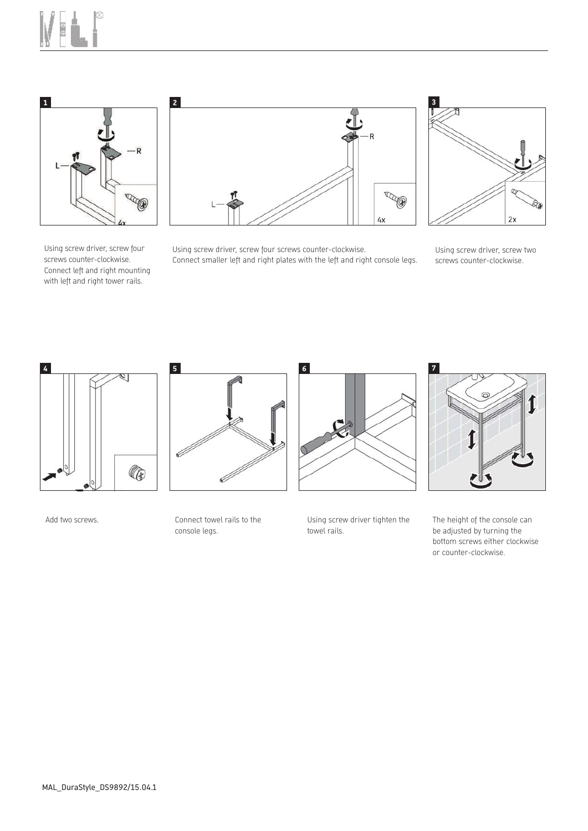



Using screw driver, screw four screws counter-clockwise. Connect left and right mounting with left and right tower rails.



Using screw driver, screw four screws counter-clockwise. Connect smaller left and right plates with the left and right console legs.



Using screw driver, screw two screws counter-clockwise.



Add two screws. The connect towel rails to the

Ø l

console legs.



Using screw driver tighten the towel rails.



The height of the console can be adjusted by turning the bottom screws either clockwise or counter-clockwise.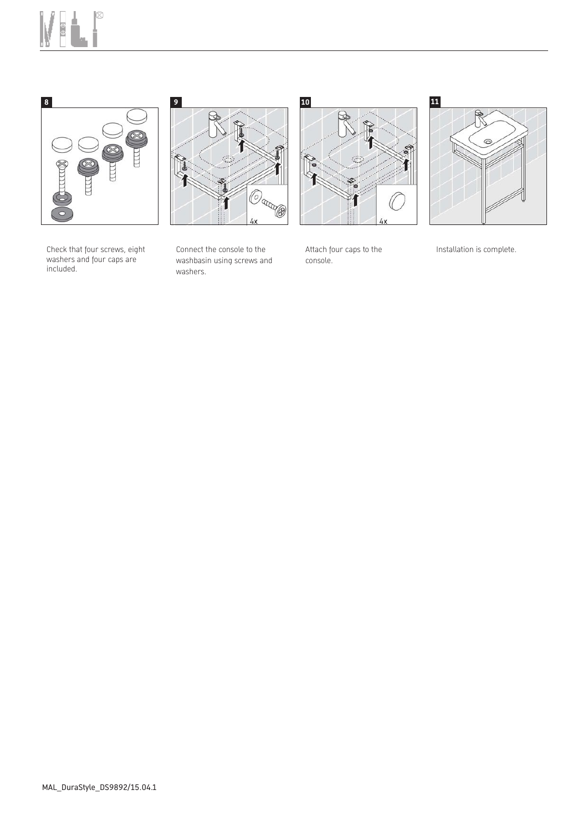







Check that four screws, eight washers and four caps are included.

Connect the console to the washbasin using screws and washers.

Attach four caps to the console.

Installation is complete.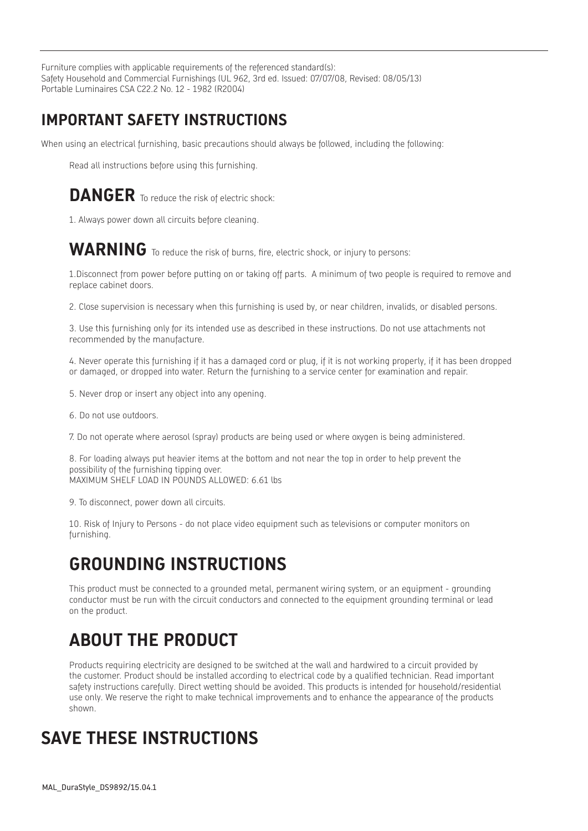Furniture complies with applicable requirements of the referenced standard(s): Safety Household and Commercial Furnishings (UL 962, 3rd ed. Issued: 07/07/08, Revised: 08/05/13) Portable Luminaires CSA C22.2 No. 12 - 1982 (R2004)

#### **IMPORTANT SAFETY INSTRUCTIONS**

When using an electrical furnishing, basic precautions should always be followed, including the following:

Read all instructions before using this furnishing.

#### **DANGER** To reduce the risk of electric shock:

1. Always power down all circuits before cleaning.

#### WARNING To reduce the risk of burns, fire, electric shock, or injury to persons:

1.Disconnect from power before putting on or taking off parts. A minimum of two people is required to remove and replace cabinet doors.

2. Close supervision is necessary when this furnishing is used by, or near children, invalids, or disabled persons.

3. Use this furnishing only for its intended use as described in these instructions. Do not use attachments not recommended by the manufacture.

4. Never operate this furnishing if it has a damaged cord or plug, if it is not working properly, if it has been dropped or damaged, or dropped into water. Return the furnishing to a service center for examination and repair.

- 5. Never drop or insert any object into any opening.
- 6. Do not use outdoors.
- 7. Do not operate where aerosol (spray) products are being used or where oxygen is being administered.

8. For loading always put heavier items at the bottom and not near the top in order to help prevent the possibility of the furnishing tipping over. MAXIMUM SHELF LOAD IN POUNDS ALLOWED: 6.61 lbs

9. To disconnect, power down all circuits.

10. Risk of Injury to Persons - do not place video equipment such as televisions or computer monitors on furnishing.

## **GROUNDING INSTRUCTIONS**

This product must be connected to a grounded metal, permanent wiring system, or an equipment - grounding conductor must be run with the circuit conductors and connected to the equipment grounding terminal or lead on the product.

# **ABOUT THE PRODUCT**

Products requiring electricity are designed to be switched at the wall and hardwired to a circuit provided by the customer. Product should be installed according to electrical code by a qualified technician. Read important safety instructions carefully. Direct wetting should be avoided. This products is intended for household/residential use only. We reserve the right to make technical improvements and to enhance the appearance of the products shown.

## **SAVE THESE INSTRUCTIONS**